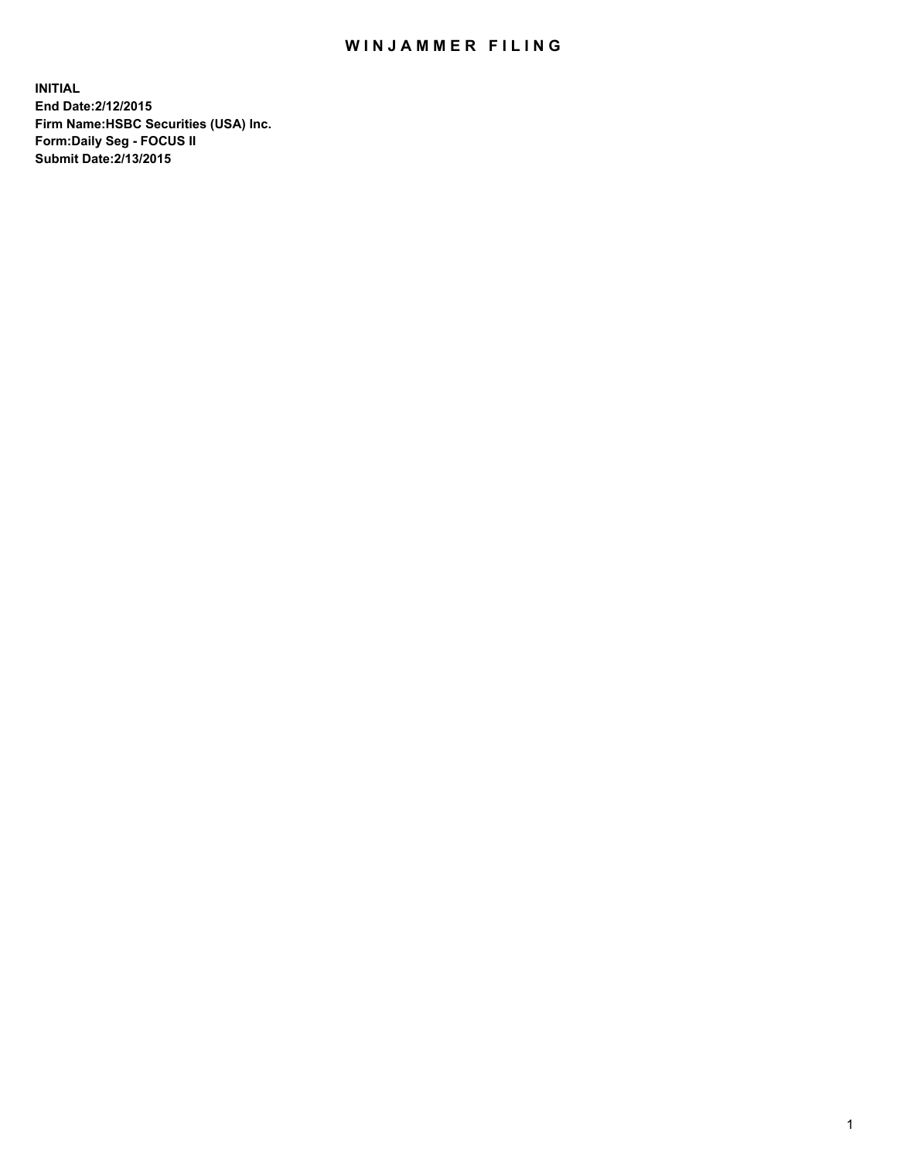## WIN JAMMER FILING

**INITIAL End Date:2/12/2015 Firm Name:HSBC Securities (USA) Inc. Form:Daily Seg - FOCUS II Submit Date:2/13/2015**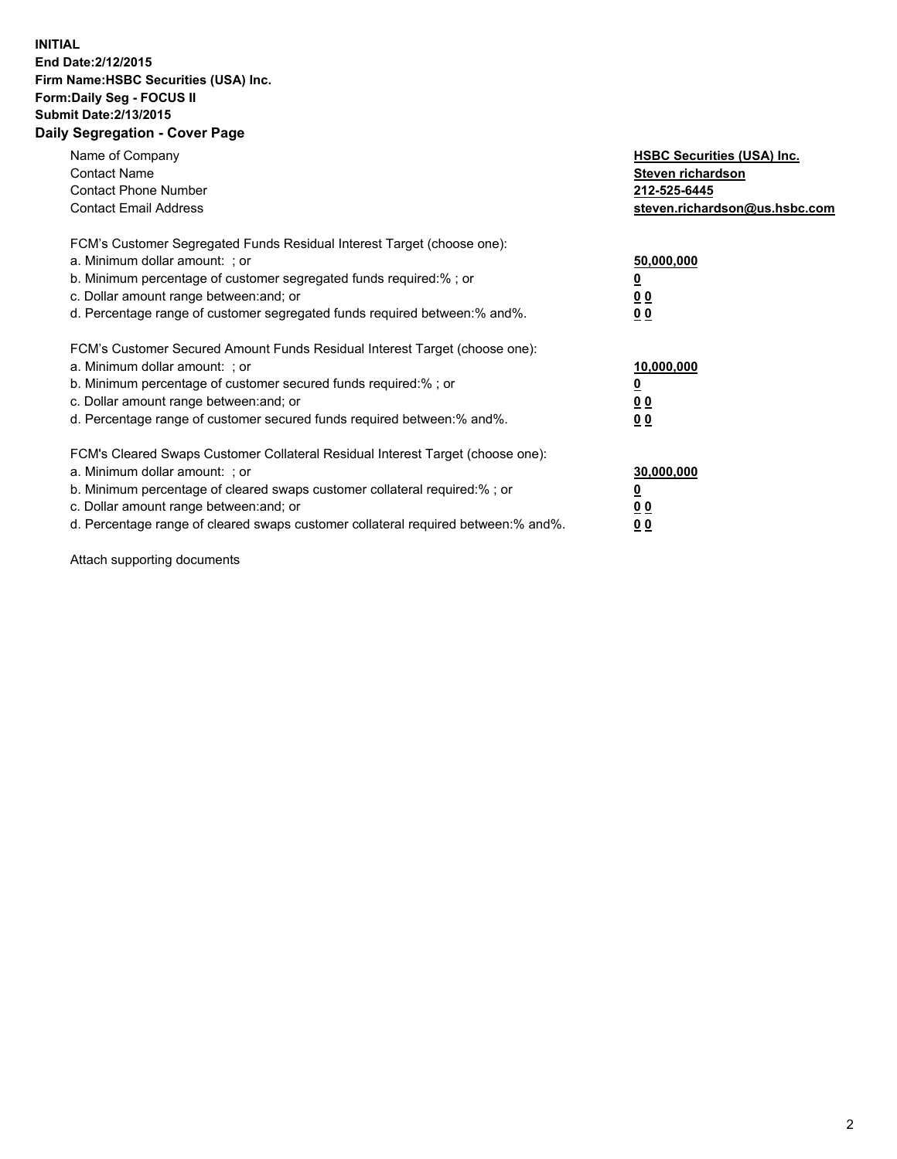## **INITIAL End Date:2/12/2015 Firm Name:HSBC Securities (USA) Inc. Form:Daily Seg - FOCUS II Submit Date:2/13/2015 Daily Segregation - Cover Page**

| Name of Company<br><b>Contact Name</b><br><b>Contact Phone Number</b><br><b>Contact Email Address</b>                                                                                                                                                                                                                         | <b>HSBC Securities (USA) Inc.</b><br>Steven richardson<br>212-525-6445<br>steven.richardson@us.hsbc.com |
|-------------------------------------------------------------------------------------------------------------------------------------------------------------------------------------------------------------------------------------------------------------------------------------------------------------------------------|---------------------------------------------------------------------------------------------------------|
| FCM's Customer Segregated Funds Residual Interest Target (choose one):<br>a. Minimum dollar amount: ; or<br>b. Minimum percentage of customer segregated funds required:% ; or<br>c. Dollar amount range between: and; or<br>d. Percentage range of customer segregated funds required between: % and %.                      | 50,000,000<br>0 <sub>0</sub><br>00                                                                      |
| FCM's Customer Secured Amount Funds Residual Interest Target (choose one):<br>a. Minimum dollar amount: ; or<br>b. Minimum percentage of customer secured funds required:%; or<br>c. Dollar amount range between: and; or<br>d. Percentage range of customer secured funds required between: % and %.                         | 10,000,000<br>00<br>00                                                                                  |
| FCM's Cleared Swaps Customer Collateral Residual Interest Target (choose one):<br>a. Minimum dollar amount: ; or<br>b. Minimum percentage of cleared swaps customer collateral required:%; or<br>c. Dollar amount range between: and; or<br>d. Percentage range of cleared swaps customer collateral required between:% and%. | 30,000,000<br>0 <sub>0</sub><br>00                                                                      |

Attach supporting documents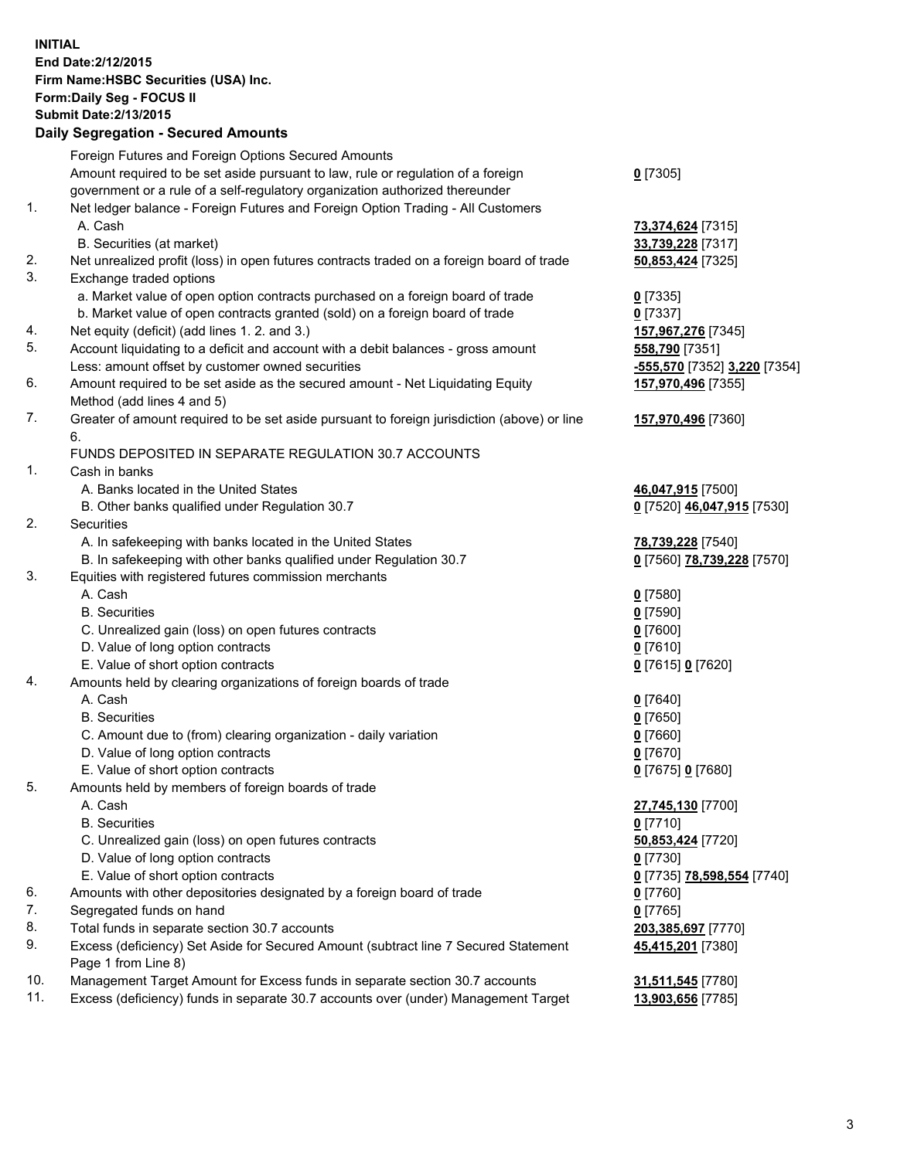**INITIAL End Date:2/12/2015 Firm Name:HSBC Securities (USA) Inc. Form:Daily Seg - FOCUS II Submit Date:2/13/2015 Daily Segregation - Secured Amounts**

Foreign Futures and Foreign Options Secured Amounts Amount required to be set aside pursuant to law, rule or regulation of a foreign government or a rule of a self-regulatory organization authorized thereunder **0** [7305] 1. Net ledger balance - Foreign Futures and Foreign Option Trading - All Customers A. Cash **73,374,624** [7315] B. Securities (at market) **33,739,228** [7317] 2. Net unrealized profit (loss) in open futures contracts traded on a foreign board of trade **50,853,424** [7325] 3. Exchange traded options a. Market value of open option contracts purchased on a foreign board of trade **0** [7335] b. Market value of open contracts granted (sold) on a foreign board of trade **0** [7337] 4. Net equity (deficit) (add lines 1. 2. and 3.) **157,967,276** [7345] 5. Account liquidating to a deficit and account with a debit balances - gross amount **558,790** [7351] Less: amount offset by customer owned securities **-555,570** [7352] **3,220** [7354] 6. Amount required to be set aside as the secured amount - Net Liquidating Equity Method (add lines 4 and 5) **157,970,496** [7355] 7. Greater of amount required to be set aside pursuant to foreign jurisdiction (above) or line 6. **157,970,496** [7360] FUNDS DEPOSITED IN SEPARATE REGULATION 30.7 ACCOUNTS 1. Cash in banks A. Banks located in the United States **46,047,915** [7500] B. Other banks qualified under Regulation 30.7 **0** [7520] **46,047,915** [7530] 2. Securities A. In safekeeping with banks located in the United States **78,739,228** [7540] B. In safekeeping with other banks qualified under Regulation 30.7 **0** [7560] **78,739,228** [7570] 3. Equities with registered futures commission merchants A. Cash **0** [7580] B. Securities **0** [7590] C. Unrealized gain (loss) on open futures contracts **0** [7600] D. Value of long option contracts **0** [7610] E. Value of short option contracts **0** [7615] **0** [7620] 4. Amounts held by clearing organizations of foreign boards of trade A. Cash **0** [7640] B. Securities **0** [7650] C. Amount due to (from) clearing organization - daily variation **0** [7660] D. Value of long option contracts **0** [7670] E. Value of short option contracts **0** [7675] **0** [7680] 5. Amounts held by members of foreign boards of trade A. Cash **27,745,130** [7700] B. Securities **0** [7710] C. Unrealized gain (loss) on open futures contracts **50,853,424** [7720] D. Value of long option contracts **0** [7730] E. Value of short option contracts **0** [7735] **78,598,554** [7740] 6. Amounts with other depositories designated by a foreign board of trade **0** [7760] 7. Segregated funds on hand **0** [7765] 8. Total funds in separate section 30.7 accounts **203,385,697** [7770] 9. Excess (deficiency) Set Aside for Secured Amount (subtract line 7 Secured Statement Page 1 from Line 8) **45,415,201** [7380] 10. Management Target Amount for Excess funds in separate section 30.7 accounts **31,511,545** [7780] 11. Excess (deficiency) funds in separate 30.7 accounts over (under) Management Target **13,903,656** [7785]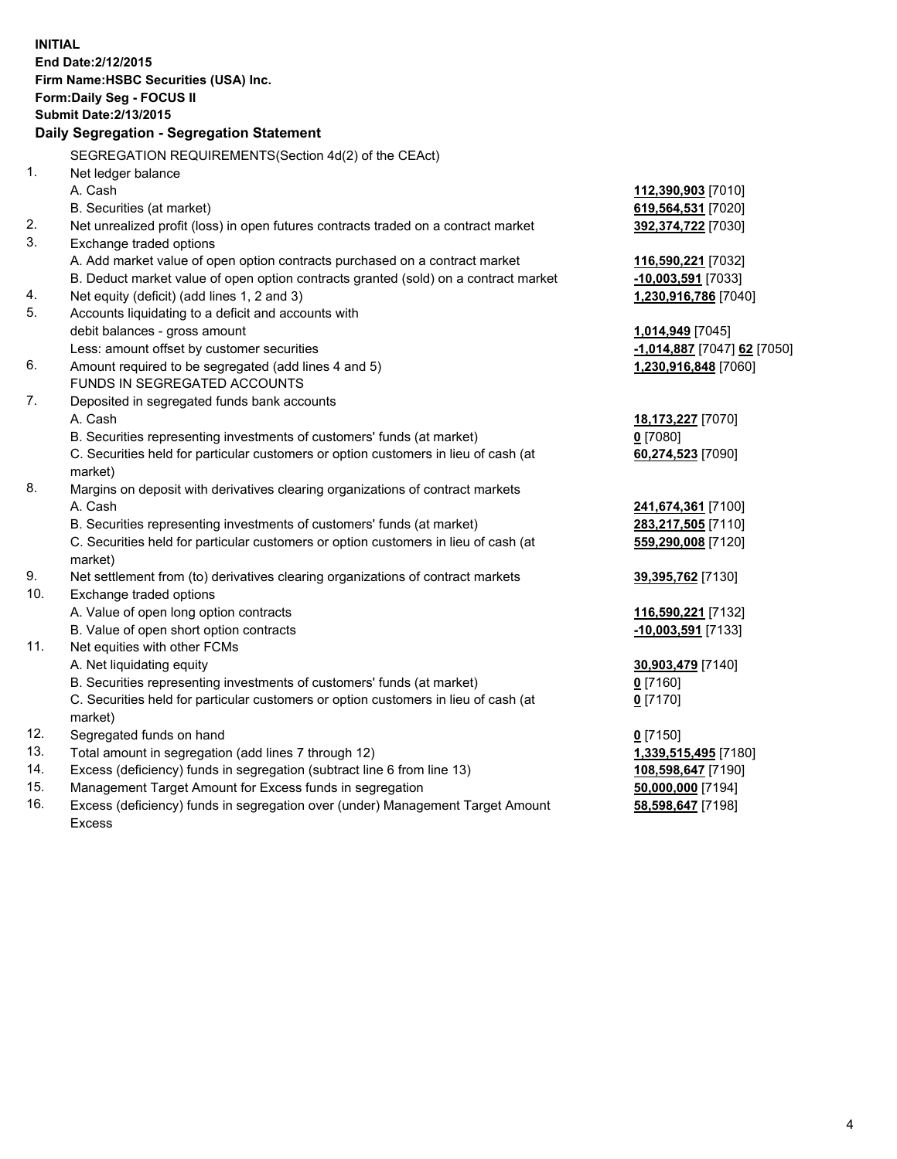|     | <b>INITIAL</b>                                                                       |                                 |
|-----|--------------------------------------------------------------------------------------|---------------------------------|
|     | End Date: 2/12/2015                                                                  |                                 |
|     | Firm Name: HSBC Securities (USA) Inc.                                                |                                 |
|     | Form: Daily Seg - FOCUS II                                                           |                                 |
|     | <b>Submit Date: 2/13/2015</b>                                                        |                                 |
|     | Daily Segregation - Segregation Statement                                            |                                 |
|     |                                                                                      |                                 |
|     | SEGREGATION REQUIREMENTS(Section 4d(2) of the CEAct)                                 |                                 |
| 1.  | Net ledger balance                                                                   |                                 |
|     | A. Cash                                                                              | 112,390,903 [7010]              |
|     | B. Securities (at market)                                                            | 619,564,531 [7020]              |
| 2.  | Net unrealized profit (loss) in open futures contracts traded on a contract market   | 392,374,722 [7030]              |
| 3.  | Exchange traded options                                                              |                                 |
|     | A. Add market value of open option contracts purchased on a contract market          | 116,590,221 [7032]              |
|     | B. Deduct market value of open option contracts granted (sold) on a contract market  | $-10,003,591$ [7033]            |
| 4.  | Net equity (deficit) (add lines 1, 2 and 3)                                          | 1,230,916,786 [7040]            |
| 5.  | Accounts liquidating to a deficit and accounts with                                  |                                 |
|     | debit balances - gross amount                                                        | 1,014,949 [7045]                |
| 6.  | Less: amount offset by customer securities                                           | -1,014,887 [7047] 62 [7050]     |
|     | Amount required to be segregated (add lines 4 and 5)<br>FUNDS IN SEGREGATED ACCOUNTS | 1,230,916,848 [7060]            |
| 7.  |                                                                                      |                                 |
|     | Deposited in segregated funds bank accounts<br>A. Cash                               |                                 |
|     | B. Securities representing investments of customers' funds (at market)               | 18,173,227 [7070]<br>$0$ [7080] |
|     | C. Securities held for particular customers or option customers in lieu of cash (at  |                                 |
|     | market)                                                                              | 60,274,523 [7090]               |
| 8.  | Margins on deposit with derivatives clearing organizations of contract markets       |                                 |
|     | A. Cash                                                                              | 241,674,361 [7100]              |
|     | B. Securities representing investments of customers' funds (at market)               | 283,217,505 [7110]              |
|     | C. Securities held for particular customers or option customers in lieu of cash (at  | 559,290,008 [7120]              |
|     | market)                                                                              |                                 |
| 9.  | Net settlement from (to) derivatives clearing organizations of contract markets      | 39,395,762 [7130]               |
| 10. | Exchange traded options                                                              |                                 |
|     | A. Value of open long option contracts                                               | 116,590,221 [7132]              |
|     | B. Value of open short option contracts                                              | $-10,003,591$ [7133]            |
| 11. | Net equities with other FCMs                                                         |                                 |
|     | A. Net liquidating equity                                                            | 30,903,479 [7140]               |
|     | B. Securities representing investments of customers' funds (at market)               | $0$ [7160]                      |
|     | C. Securities held for particular customers or option customers in lieu of cash (at  | $0$ [7170]                      |
|     | market)                                                                              |                                 |
| 12. | Segregated funds on hand                                                             | $0$ [7150]                      |
| 13. | Total amount in segregation (add lines 7 through 12)                                 | 1,339,515,495 [7180]            |
| 14. | Excess (deficiency) funds in segregation (subtract line 6 from line 13)              | 108,598,647 [7190]              |
| 15. | Management Target Amount for Excess funds in segregation                             | 50,000,000 [7194]               |
| 16. | Excess (deficiency) funds in segregation over (under) Management Target Amount       | 58,598,647 [7198]               |

Excess